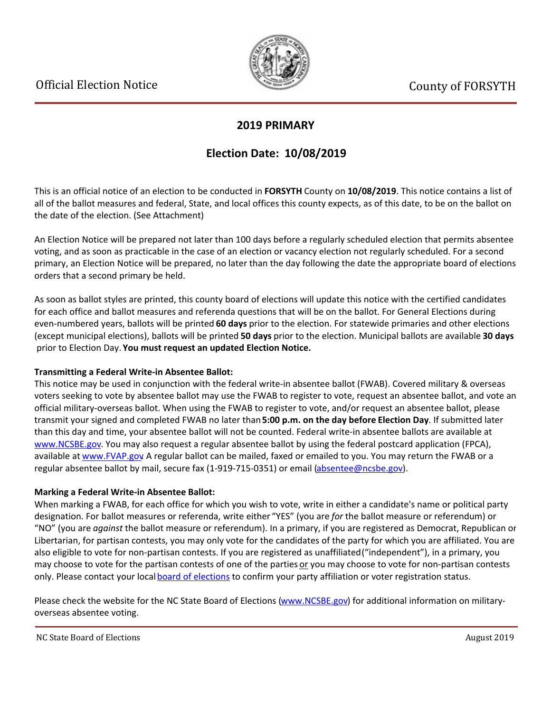

### **2019 PRIMARY**

## **Election Date: 10/08/2019**

This is an official notice of an election to be conducted in **FORSYTH** County on **10/08/2019**. This notice contains a list of all of the ballot measures and federal, State, and local offices this county expects, as of this date, to be on the ballot on the date of the election. (See Attachment)

An Election Notice will be prepared not later than 100 days before a regularly scheduled election that permits absentee voting, and as soon as practicable in the case of an election or vacancy election not regularly scheduled. For a second primary, an Election Notice will be prepared, no later than the day following the date the appropriate board of elections orders that a second primary be held.

As soon as ballot styles are printed, this county board of elections will update this notice with the certified candidates for each office and ballot measures and referenda questions that will be on the ballot. For General Elections during even-numbered years, ballots will be printed **60 days** prior to the election. For statewide primaries and other elections (except municipal elections), ballots will be printed **50 days** prior to the election. Municipal ballots are available **30 days** prior to Election Day. **You must request an updated Election Notice.**

#### **Transmitting a Federal Write-in Absentee Ballot:**

This notice may be used in conjunction with the federal write-in absentee ballot (FWAB). Covered military & overseas voters seeking to vote by absentee ballot may use the FWAB to register to vote, request an absentee ballot, and vote an official military-overseas ballot. When using the FWAB to register to vote, and/or request an absentee ballot, please transmit your signed and completed FWAB no later than **5:00 p.m. on the day before Election Day**. If submitted later than this day and time, your absentee ballot will not be counted. Federal write-in absentee ballots are available at [www.NCSBE.gov](http://www.ncsbe.gov/). You may also request a regular absentee ballot by using the federal postcard application (FPCA), available at [www.FVAP.gov](http://www.fvap.gov/). A regular ballot can be mailed, faxed or emailed to you. You may return the FWAB or a regular absentee ballot by mail, secure fax (1-919-715-0351) or email (absentee@ncsbe.gov).

#### **Marking a Federal Write-in Absentee Ballot:**

When marking a FWAB, for each office for which you wish to vote, write in either a candidate's name or political party designation. For ballot measures or referenda, write either "YES" (you are *for* the ballot measure or referendum) or "NO" (you are *against* the ballot measure or referendum). In a primary, if you are registered as Democrat, Republican or Libertarian, for partisan contests, you may only vote for the candidates of the party for which you are affiliated. You are also eligible to vote for non-partisan contests. If you are registered as unaffiliated ("independent"), in a primary, you may choose to vote for the partisan contests of one of the parties or you may choose to vote for non-partisan contests only. Please contact your local [board of elections](http://www.ncsbe.gov/webapps/CBESearch/) to confirm your party affiliation or voter registration status.

Please check the website for the NC State Board of Elections [\(www.NCSBE.gov](http://www.ncsbe.gov/)) for additional information on militaryoverseas absentee voting.